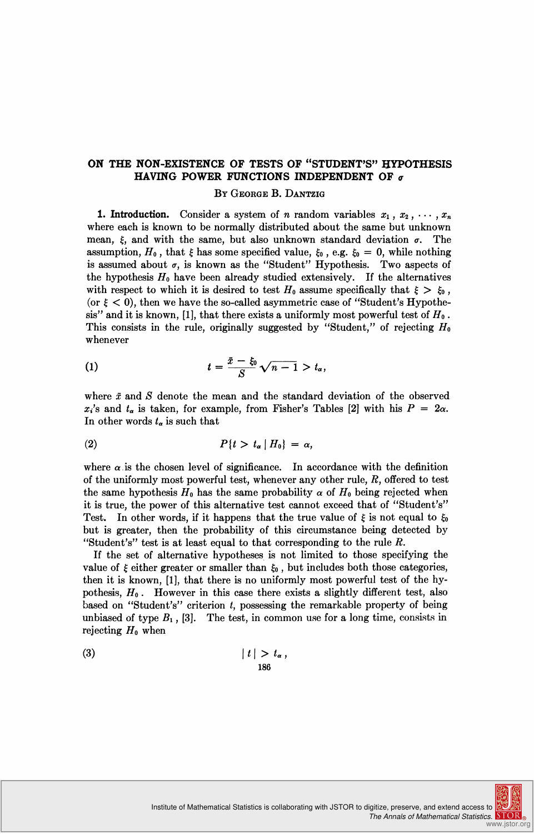## ON THE NON-EXISTENCE OF TESTS OF "STUDENT'S" HYPOTHESIS HAVING POWER FUNCTIONS INDEPENDENT OF  $\sigma$

## BY GEORGE B. DANTZIG

**1. Introduction.** Consider a system of *n* random variables  $x_1, x_2, \cdots, x_n$ where each is known to be normally distributed about the same but unknown mean,  $\xi$ , and with the same, but also unknown standard deviation  $\sigma$ . The assumption,  $H_0$ , that  $\xi$  has some specified value,  $\xi_0$ , e.g.  $\xi_0 = 0$ , while nothing<br>is assumed about  $\sigma$ , is known as the "Student" Hypothesis. Two aspects of the hypothesis  $H_0$  have been already studied extensively. If the alternatives with respect to which it is desired to test  $H_0$  assume specifically that  $\xi > \xi_0$ , (or  $\xi$  < 0), then we have the so-called asymmetric case of "Student's Hypothesis" and it is known, [1], that there exists a uniformly most powerful test of  $H_0$ . This consists in the rule, originally suggested by "Student," of rejecting  $H_0$ whenever

$$
(1) \hspace{1cm} t = \frac{\bar{x} - \xi_0}{S} \sqrt{n-1} > t_\alpha,
$$

where  $\bar{x}$  and  $S$  denote the mean and the standard deviation of the observed  $x_i$ 's and  $t_\alpha$  is taken, for example, from Fisher's Tables [2] with his  $P = 2\alpha$ . In other words  $t_{\alpha}$  is such that

$$
(2) \hspace{1cm} P\{t > t_{\alpha} \mid H_0\} = \alpha,
$$

where  $\alpha$  is the chosen level of significance. In accordance with the definition of the uniformly most powerful test, whenever any other rule,  $R$ , offered to test the same hypothesis  $H_0$  has the same probability  $\alpha$  of  $H_0$  being rejected when it is true, the power of this alternative test cannot exceed that of "Student's" Test. In other words, if it happens that the true value of  $\xi$  is not equal to  $\xi_0$ but is greater, then the probability of this circumstance being detected by "Student's" test is at least equal to that corresponding to the rule  $R$ .

If the set of alternative hypotheses is not limited to those specifying the value of  $\xi$  either greater or smaller than  $\xi_0$ , but includes both those categories, then it is known, [1], that there is no uniformly most powerful test of the hypothesis,  $H_0$ . However in this case there exists a slightly different test, also based on "Student's" criterion  $t$ , possessing the remarkable property of being unbiased of type  $B_1$ , [3]. The test, in common use for a long time, consists in rejecting  $H_0$  when

$$
|t| > t_{\alpha},
$$
\n<sup>186</sup>

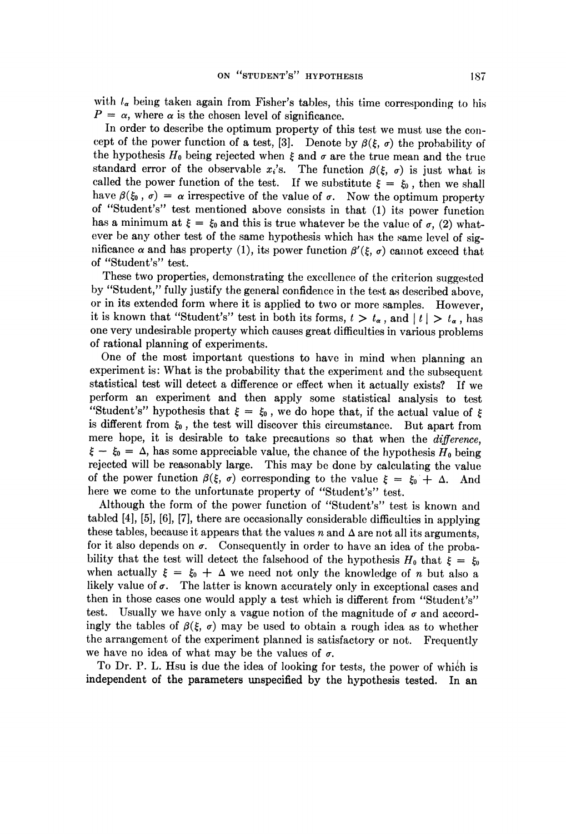with  $t_{\alpha}$  being taken again from Fisher's tables, this time corresponding to his  $P = \alpha$ , where  $\alpha$  is the chosen level of significance.

In order to describe the optimum property of this test we must use the concept of the power function of a test, [3]. Denote by  $\beta(\xi, \sigma)$  the probability of the hypothesis  $H_0$  being rejected when  $\xi$  and  $\sigma$  are the true mean and the true standard error of the observable  $x_i$ 's. The function  $\beta(\xi, \sigma)$  is just what is called the power function of the test. If we substitute  $\xi = \xi_0$ , then we shall have  $\beta(\xi_0, \sigma) = \alpha$  irrespective of the value of  $\sigma$ . Now the optimum property of "Student's" test mentioned above consists in that (1) its power function has a minimum at  $\xi = \xi_0$  and this is true whatever be the value of  $\sigma$ , (2) whatever be any other test of the same hypothesis which has the same level of significance  $\alpha$  and has property (1), its power function  $\beta'(\xi, \sigma)$  cannot exceed that of "'Student's'' test.

These two properties, demonstrating the excellence of the criterion suggested by "Student," fully justify the general confidence in the test as described above, or in its extended form where it is applied to two or more samples. However, it is known that "Student's" test in both its forms,  $t > t_{\alpha}$ , and  $|t| > t_{\alpha}$ , has one very undesirable property which causes great difficulties in various problems of rational planning of experiments.

One of the most important questions to have in mind when planning an experiment is: What is the probability that the experiment and the subsequent statistical test will detect a difference or effect when it actually exists? If we perform an experiment and then apply some statistical analysis to test "Student's" hypothesis that  $\xi = \xi_0$ , we do hope that, if the actual value of  $\xi$ is different from  $\xi_0$ , the test will discover this circumstance. But apart from mere hope, it is desirable to take precautions so that when the difference,  $\xi - \xi_0 = \Delta$ , has some appreciable value, the chance of the hypothesis  $H_0$  being rejected will be reasonably large. This may be done by calculating the value of the power function  $\beta(\xi, \sigma)$  corresponding to the value  $\xi = \xi_0 + \Delta$ . And here we come to the unfortunate property of 'Student's'' test.

Although the form of the power function of "Student's" test is known and tabled [4], [5], [6], [7], there are occasionally considerable difficulties in applying these tables, because it appears that the values  $n$  and  $\Delta$  are not all its arguments, for it also depends on  $\sigma$ . Consequently in order to have an idea of the probability that the test will detect the falsehood of the hypothesis  $H_0$  that  $\xi = \xi_0$ when actually  $\xi = \xi_0 + \Delta$  we need not only the knowledge of *n* but also a likely value of  $\sigma$ . The latter is known accurately only in exceptional cases and then in those cases one would apply a test which is different from "Student's"' test. Usually we have only a vague notion of the magnitude of  $\sigma$  and accordingly the tables of  $\beta(\xi, \sigma)$  may be used to obtain a rough idea as to whether the arrangement of the experiment planned is satisfactory or not. Frequently we have no idea of what may be the values of  $\sigma$ .

To Dr. P. L. Hsu is due the idea of looking for tests, the power of which is independent of the parameters unspecified by the hypothesis tested. In an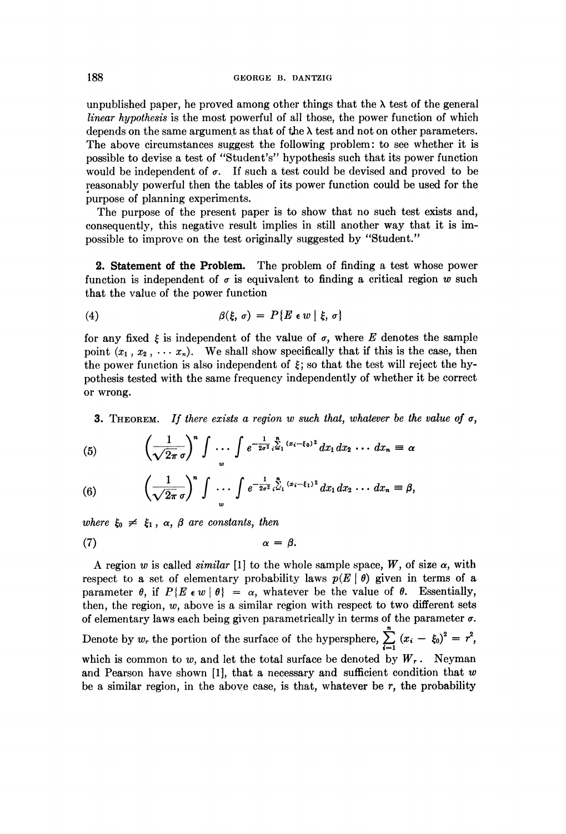unpublished paper, he proved among other things that the  $\lambda$  test of the general linear hypothesis is the most powerful of all those, the power function of which depends on the same argument as that of the  $\lambda$  test and not on other parameters. The above circumstances suggest the following problem: to see whether it is possible to devise a test of '"Student's'' hypothesis such that its power function would be independent of  $\sigma$ . If such a test could be devised and proved to be reasonably powerful then the tables of its power function could be used for the purpose of planning experiments.

The purpose of the present paper is to show that no such test exists and, consequently, this negative result implies in still another way that it is impossible to improve on the test originally suggested by ''Student."'

2. Statement of the Problem. The problem of finding a test whose power function is independent of  $\sigma$  is equivalent to finding a critical region w such that the value of the power function

(4) 
$$
\beta(\xi, \sigma) = P\{E \in w \mid \xi, \sigma\}
$$

 $1 \quad \lambda^n$   $\int$   $1 \quad \frac{n}{\lambda}$ 

for any fixed  $\xi$  is independent of the value of  $\sigma$ , where E denotes the sample point  $(x_1, x_2, \cdots, x_n)$ . We shall show specifically that if this is the case, then the power function is also independent of  $\xi$ ; so that the test will reject the hypothesis tested with the same frequency independently of whether it be correct or wrong.

**3.** THEOREM. If there exists a region w such that, whatever be the value of  $\sigma$ ,

(5) 
$$
\left(\frac{1}{\sqrt{2\pi}\sigma}\right)^n \int \cdots \int e^{-\frac{1}{2\sigma^2} \cdot \sum_{i=1}^n (x_i - \xi_0)^2} dx_1 dx_2 \cdots dx_n \equiv \alpha
$$

(6) 
$$
\left(\frac{1}{\sqrt{2\pi}\sigma}\right)^n \int \cdots \int e^{-\frac{1}{2\sigma^2} \int_{z_1}^n (x_i - \xi_1)^2} dx_1 dx_2 \cdots dx_n \equiv \beta,
$$

where  $\xi_0 \neq \xi_1$ ,  $\alpha$ ,  $\beta$  are constants, then

$$
\alpha = \beta.
$$

A region w is called *similar* [1] to the whole sample space, W, of size  $\alpha$ , with respect to a set of elementary probability laws  $p(E | \theta)$  given in terms of a parameter  $\theta$ , if  $P\{E \in w \mid \theta\} = \alpha$ , whatever be the value of  $\theta$ . Essentially, then, the region,  $w$ , above is a similar region with respect to two different sets of elementary laws each being given parametrically in terms of the parameter  $\sigma$ . Denote by  $w_r$  the portion of the surface of the hypersphere,  $\sum_{i=1}^{\infty} (x_i - \xi_0)^2 = r^2$ , which is common to w, and let the total surface be denoted by  $W_r$ . Neyman and Pearson have shown [1], that a necessary and sufficient condition that  $w$ be a similar region, in the above case, is that, whatever be  $r$ , the probability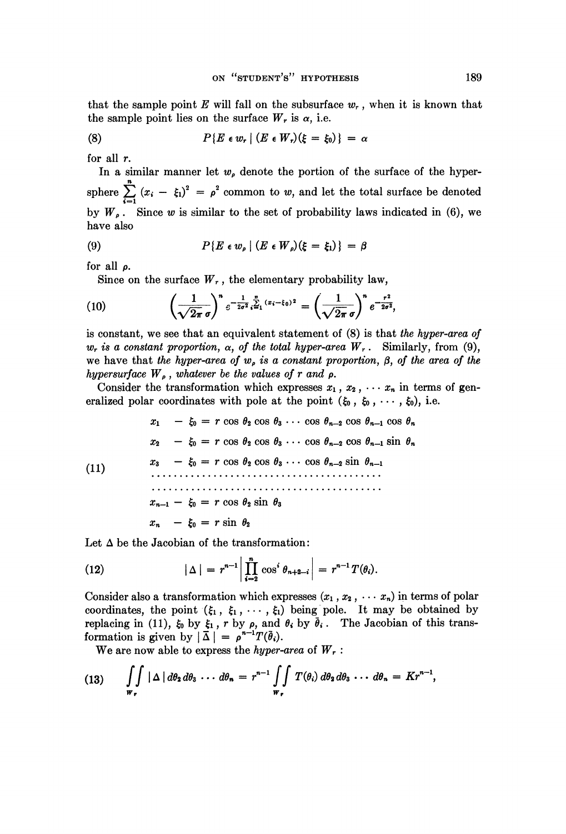that the sample point E will fall on the subsurface  $w_r$ , when it is known that the sample point lies on the surface  $W_r$  is  $\alpha$ , i.e.

(8) 
$$
P\{E \in w_r \mid (E \in W_r)(\xi = \xi_0)\} = \alpha
$$

for all  $r$ .

In a similar manner let  $w<sub>e</sub>$  denote the portion of the surface of the hypersphere  $\sum_{i=1}^{n} (x_i - \xi_i)^2 = \rho^2$  common to w, and let the total surface be denoted by  $W_{\rho}$ . Since w is similar to the set of probability laws indicated in (6), we have also

(9) 
$$
P\{E \in w_{\rho} \mid (E \in W_{\rho})(\xi = \xi_1)\} = \beta
$$

for all  $\rho$ .

Since on the surface  $W_r$ , the elementary probability law,

(10) 
$$
\left(\frac{1}{\sqrt{2\pi} \sigma}\right)^n e^{-\frac{1}{2\sigma^2} \frac{n}{4}} e^{-\frac{1}{2} (x_i - \xi_0)^2} = \left(\frac{1}{\sqrt{2\pi} \sigma}\right)^n e^{-\frac{r^2}{2\sigma^2}},
$$

is constant, we see that an equivalent statement of (8) is that the hyper-area of  $w_r$  is a constant proportion,  $\alpha$ , of the total hyper-area  $W_r$ . Similarly, from (9), we have that the hyper-area of  $w<sub>e</sub>$  is a constant proportion,  $\beta$ , of the area of the hypersurface  $W_{\rho}$ , whatever be the values of r and  $\rho$ .

Consider the transformation which expresses  $x_1, x_2, \cdots, x_n$  in terms of generalized polar coordinates with pole at the point  $(\xi_0, \xi_0, \dots, \xi_0)$ , i.e.

 $- \xi_0 = r \cos \theta_2 \cos \theta_3 \cdots \cos \theta_{n-2} \cos \theta_{n-1} \cos \theta_n$  $x_1$  $x_2$  -  $\xi_0$  =  $r \cos \theta_2 \cos \theta_3 \cdots \cos \theta_{n-2} \cos \theta_{n-1} \sin \theta_n$  $-\xi_0 = r \cos \theta_2 \cos \theta_3 \cdots \cos \theta_{n-2} \sin \theta_{n-1}$  $x_{3}$  $(11)$  $x_{n-1} - \xi_0 = r \cos \theta_2 \sin \theta_3$  $x_n - \xi_0 = r \sin \theta_2$ 

Let  $\Delta$  be the Jacobian of the transformation:

(12) 
$$
|\Delta| = r^{n-1} \left| \prod_{i=2}^{n} \cos^{i} \theta_{n+2-i} \right| = r^{n-1} T(\theta_{i}).
$$

Consider also a transformation which expresses  $(x_1, x_2, \cdots x_n)$  in terms of polar coordinates, the point  $(\xi_1, \xi_1, \dots, \xi_l)$  being pole. It may be obtained by replacing in (11),  $\xi_0$  by  $\xi_1$ , r by  $\rho$ , and  $\theta_i$  by  $\overline{\theta}_i$ . The Jacobian of this transformation is given by  $|\bar{\Delta}| = \rho^{n-1} T(\bar{\theta}_i)$ .

We are now able to express the hyper-area of  $W_r$ :

(13) 
$$
\iint_{\mathbf{w}_r} |\Delta| d\theta_2 d\theta_3 \cdots d\theta_n = r^{n-1} \iint_{\mathbf{w}_r} T(\theta_i) d\theta_2 d\theta_3 \cdots d\theta_n = K r^{n-1},
$$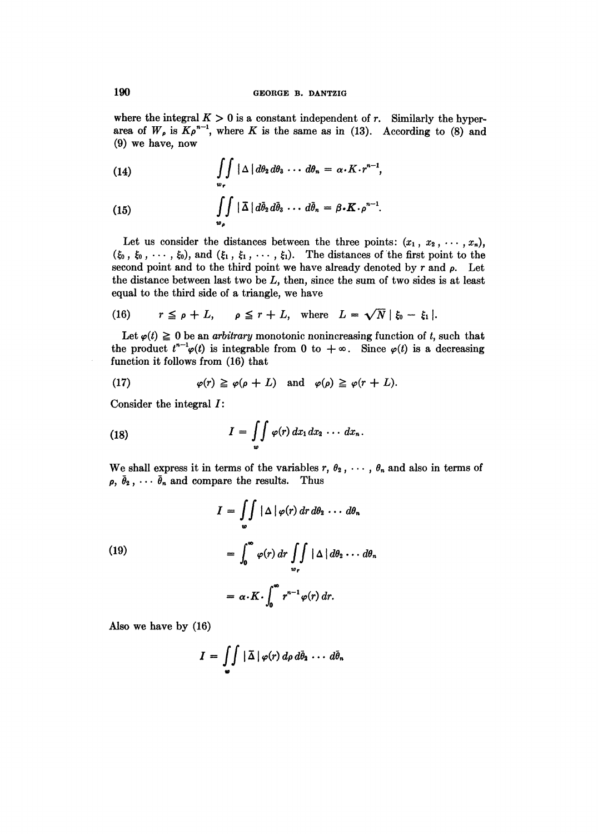where the integral  $K > 0$  is a constant independent of r. Similarly the hyperarea of  $W_{\rho}$  is  $K\rho^{n-1}$ , where K is the same as in (13). According to (8) and (9) we have, now

(14) 
$$
\iint_{w_r} |\Delta| d\theta_2 d\theta_3 \cdots d\theta_n = \alpha \cdot K \cdot r^{n-1},
$$

(15) 
$$
\iint\limits_{\boldsymbol{w}_{\rho}} |\,\overline{\Delta}\,|\,d\overline{\theta}_2\,d\overline{\theta}_3\,\cdots\,d\overline{\theta}_n\,=\,\beta\boldsymbol{\cdot}\boldsymbol{K}\cdot\rho^{n-1}.
$$

Let us consider the distances between the three points:  $(x_1, x_2, \dots, x_n)$ ,  $(\xi_0, \xi_0, \dots, \xi_0)$ , and  $(\xi_1, \xi_1, \dots, \xi_1)$ . The distances of the first point to the second point and to the third point we have already denoted by  $r$  and  $\rho$ . Let the distance between last two be  $L$ , then, since the sum of two sides is at least equal to the third side of a triangle, we have

(16) 
$$
r \leq \rho + L
$$
,  $\rho \leq r + L$ , where  $L = \sqrt{N} |\xi_0 - \xi_1|$ .

Let  $\varphi(t) \ge 0$  be an *arbitrary* monotonic nonincreasing function of t, such that the product  $t^{n-l}\varphi(t)$  is integrable from 0 to  $+\infty$ . Since  $\varphi(t)$  is a decreasing function it follows from (16) that

(17) 
$$
\varphi(r) \geq \varphi(\rho + L) \quad \text{and} \quad \varphi(\rho) \geq \varphi(r + L).
$$

Consider the integral I:

(18) 
$$
I = \iint\limits_{\omega} \varphi(r) dx_1 dx_2 \cdots dx_n.
$$

We shall express it in terms of the variables  $r, \theta_2, \cdots, \theta_n$  and also in terms of  $\rho$ ,  $\bar{\theta}_2$ ,  $\cdots$   $\bar{\theta}_n$  and compare the results. Thus

(19)  
\n
$$
I = \iint_{\omega} |\Delta| \varphi(r) dr d\theta_2 \cdots d\theta_n
$$
\n
$$
= \int_{0}^{\infty} \varphi(r) dr \iint_{\omega_r} |\Delta| d\theta_2 \cdots d\theta_n
$$
\n
$$
= \alpha \cdot K \cdot \int_{0}^{\infty} r^{n-1} \varphi(r) dr.
$$

Also we have by (16)

$$
I = \iint\limits_{\omega} |\,\overline{\Delta}\,| \,\varphi(r) \,d\rho \,d\overline{\theta}_2 \,\cdots \,d\overline{\theta}_n
$$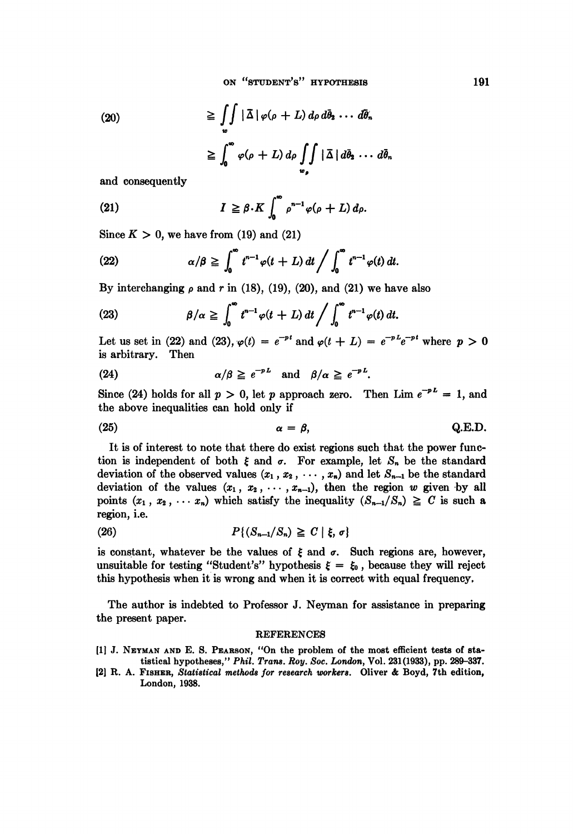(20)  
\n
$$
\geq \iint_{\omega} |\bar{\Delta}| \varphi(\rho + L) d\rho d\bar{\theta}_{2} \cdots d\bar{\theta}_{n}
$$
\n
$$
\geq \int_{0}^{\infty} \varphi(\rho + L) d\rho \iint_{\omega_{\rho}} |\bar{\Delta}| d\bar{\theta}_{2} \cdots d\bar{\theta}_{n}
$$

and consequently

(21) 
$$
I \geq \beta \cdot K \int_0^{\infty} \rho^{n-1} \varphi(\rho + L) d\rho.
$$

Since  $K > 0$ , we have from (19) and (21)

(22) 
$$
\alpha/\beta \geqq \int_0^\infty t^{n-1} \varphi(t+L) dt / \int_0^\infty t^{n-1} \varphi(t) dt.
$$

By interchanging  $\rho$  and r in (18), (19), (20), and (21) we have also

(23) 
$$
\beta/\alpha \geqq \int_0^\infty t^{n-1} \varphi(t+L) dt / \int_0^\infty t^{n-1} \varphi(t) dt.
$$

Let us set in (22) and (23),  $\varphi(t) = e^{-pt}$  and  $\varphi(t + L) = e^{-pL}e^{-pt}$  where  $p > 0$ is arbitrary. Then

(24) 
$$
\alpha/\beta \geq e^{-pL}
$$
 and  $\beta/\alpha \geq e^{-pL}$ .

Since (24) holds for all  $p > 0$ , let p approach zero. Then Lim  $e^{-pL} = 1$ , and the above inequalities can hold only if

$$
\alpha = \beta, \qquad \qquad \mathbf{Q.E.D.}
$$

It is of interest to note that there do exist regions such that the power function is independent of both  $\xi$  and  $\sigma$ . For example, let  $S_n$  be the standard deviation of the observed values  $(x_1, x_2, \dots, x_n)$  and let  $S_{n-1}$  be the standard deviation of the values  $(x_1, x_2, \dots, x_{n-1})$ , then the region w given by all points  $(x_1, x_2, \cdots, x_n)$  which satisfy the inequality  $(S_{n-1}/S_n) \geq C$  is such a region, i.e.

$$
(26) \t\t\t P\{(S_{n-1}/S_n) \ge C \mid \xi, \sigma\}
$$

is constant, whatever be the values of  $\xi$  and  $\sigma$ . Such regions are, however, unsuitable for testing "Student's" hypothesis  $\xi = \xi_0$ , because they will reject this hypothesis when it is wrong and when it is correct with equal frequency.

The author is indebted to Professor J. Neyman for assistance in preparing the present paper.

## REFERENCES

- [1] J. NEYMAN AND E. S. PEARSON, "On the problem of the most efficient tests of statistical hypotheses,'' Phil. Trans. Roy. Soc. London, Vol. 231(1933), pp. 289-337.
- [2] R. A. Fisuser, Statistical methods for research workers. Oliver & Boyd, 7th edition, London, 1938.